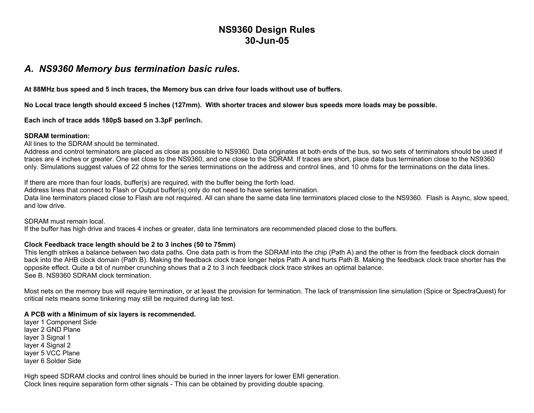# **NS9360 Design Rules 30-Jun-05**

### *A. NS9360 Memory bus termination basic rules.*

**At 88MHz bus speed and 5 inch traces, the Memory bus can drive four loads without use of buffers.** 

**No Local trace length should exceed 5 inches (127mm). With shorter traces and slower bus speeds more loads may be possible.** 

**Each inch of trace adds 180pS based on 3.3pF per/inch.** 

#### **SDRAM termination:**

All lines to the SDRAM should be terminated.

Address and control terminators are placed as close as possible to NS9360. Data originates at both ends of the bus, so two sets of terminators should be used if traces are 4 inches or greater. One set close to the NS9360, and one close to the SDRAM. If traces are short, place data bus termination close to the NS9360 only. Simulations suggest values of 22 ohms for the series terminations on the address and control lines, and 10 ohms for the terminations on the data lines.

If there are more than four loads, buffer(s) are required, with the buffer being the forth load.

Address lines that connect to Flash or Output buffer(s) only do not need to have series termination.

Data line terminators placed close to Flash are not required. All can share the same data line terminators placed close to the NS9360. Flash is Async, slow speed, and low drive.

SDRAM must remain local.

If the buffer has high drive and traces 4 inches or greater, data line terminators are recommended placed close to the buffers.

### **Clock Feedback trace length should be 2 to 3 inches (50 to 75mm)**

This length strikes a balance between two data paths. One data path is from the SDRAM into the chip (Path A) and the other is from the feedback clock domain back into the AHB clock domain (Path B). Making the feedback clock trace longer helps Path A and hurts Path B. Making the feedback clock trace shorter has the opposite effect. Quite a bit of number crunching shows that a 2 to 3 inch feedback clock trace strikes an optimal balance. See B. NS9360 SDRAM clock termination.

Most nets on the memory bus will require termination, or at least the provision for termination. The lack of transmission line simulation (Spice or SpectraQuest) for critical nets means some tinkering may still be required during lab test.

### **A PCB with a Minimum of six layers is recommended.**

layer 1 Component Side layer 2 GND Plane layer 3 Signal 1 layer 4 Signal 2 layer 5 VCC Plane layer 6 Solder Side

High speed SDRAM clocks and control lines should be buried in the inner layers for lower EMI generation. Clock lines require separation form other signals - This can be obtained by providing double spacing.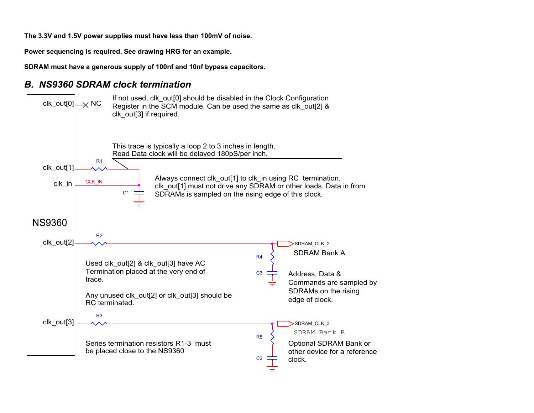**The 3.3V and 1.5V power supplies must have less than 100mV of noise.** 

**Power sequencing is required. See drawing HRG for an example.** 

**SDRAM must have a generous supply of 100nf and 10nf bypass capacitors.**

## *B. NS9360 SDRAM clock termination*